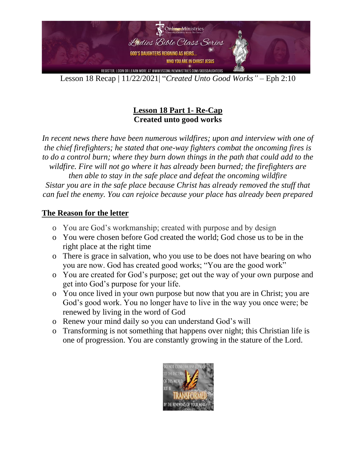

## **Lesson 18 Part 1- Re-Cap Created unto good works**

In recent news there have been numerous wildfires; upon and interview with one of *the chief firefighters; he stated that one-way fighters combat the oncoming fires is to do a control burn; where they burn down things in the path that could add to the wildfire. Fire will not go where it has already been burned; the firefighters are then able to stay in the safe place and defeat the oncoming wildfire Sistar you are in the safe place because Christ has already removed the stuff that can fuel the enemy. You can rejoice because your place has already been prepared*

#### **The Reason for the letter**

- o You are God's workmanship; created with purpose and by design
- o You were chosen before God created the world; God chose us to be in the right place at the right time
- o There is grace in salvation, who you use to be does not have bearing on who you are now. God has created good works; "You are the good work"
- o You are created for God's purpose; get out the way of your own purpose and get into God's purpose for your life.
- o You once lived in your own purpose but now that you are in Christ; you are God's good work. You no longer have to live in the way you once were; be renewed by living in the word of God
- o Renew your mind daily so you can understand God's will
- o Transforming is not something that happens over night; this Christian life is one of progression. You are constantly growing in the stature of the Lord.

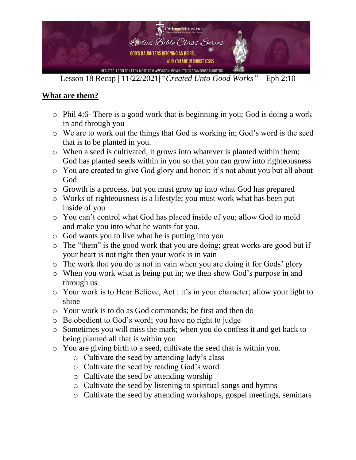

# **What are them?**

- o Phil 4:6- There is a good work that is beginning in you; God is doing a work in and through you
- o We are to work out the things that God is working in; God's word is the seed that is to be planted in you.
- o When a seed is cultivated, it grows into whatever is planted within them; God has planted seeds within in you so that you can grow into righteousness
- o You are created to give God glory and honor; it's not about you but all about God
- o Growth is a process, but you must grow up into what God has prepared
- o Works of righteousness is a lifestyle; you must work what has been put inside of you
- o You can't control what God has placed inside of you; allow God to mold and make you into what he wants for you.
- o God wants you to live what he is putting into you
- o The "them" is the good work that you are doing; great works are good but if your heart is not right then your work is in vain
- o The work that you do is not in vain when you are doing it for Gods' glory
- o When you work what is being put in; we then show God's purpose in and through us
- o Your work is to Hear Believe, Act : it's in your character; allow your light to shine
- o Your work is to do as God commands; be first and then do
- o Be obedient to God's word; you have no right to judge
- o Sometimes you will miss the mark; when you do confess it and get back to being planted all that is within you
- o You are giving birth to a seed, cultivate the seed that is within you.
	- o Cultivate the seed by attending lady's class
	- o Cultivate the seed by reading God's word
	- o Cultivate the seed by attending worship
	- o Cultivate the seed by listening to spiritual songs and hymns
	- o Cultivate the seed by attending workshops, gospel meetings, seminars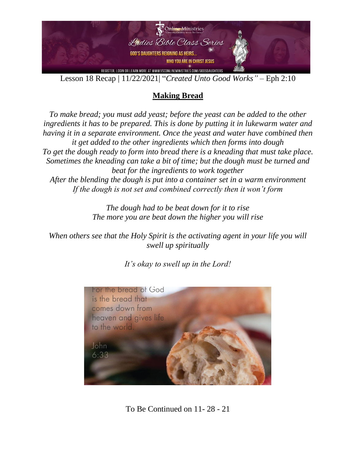

# **Making Bread**

*To make bread; you must add yeast; before the yeast can be added to the other ingredients it has to be prepared. This is done by putting it in lukewarm water and having it in a separate environment. Once the yeast and water have combined then it get added to the other ingredients which then forms into dough To get the dough ready to form into bread there is a kneading that must take place. Sometimes the kneading can take a bit of time; but the dough must be turned and beat for the ingredients to work together After the blending the dough is put into a container set in a warm environment If the dough is not set and combined correctly then it won't form*

> *The dough had to be beat down for it to rise The more you are beat down the higher you will rise*

*When others see that the Holy Spirit is the activating agent in your life you will swell up spiritually* 

*It's okay to swell up in the Lord!* 



To Be Continued on 11- 28 - 21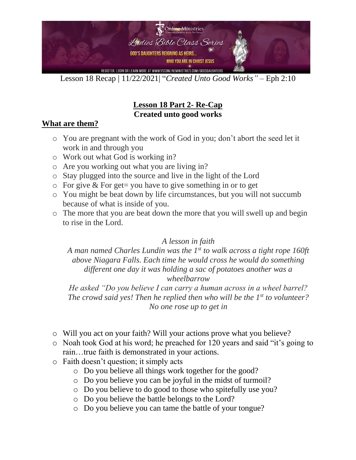

# **Lesson 18 Part 2- Re-Cap Created unto good works**

## **What are them?**

- o You are pregnant with the work of God in you; don't abort the seed let it work in and through you
- o Work out what God is working in?
- o Are you working out what you are living in?
- o Stay plugged into the source and live in the light of the Lord
- $\circ$  For give & For get= you have to give something in or to get
- o You might be beat down by life circumstances, but you will not succumb because of what is inside of you.
- o The more that you are beat down the more that you will swell up and begin to rise in the Lord.

#### *A lesson in faith*

*A man named Charles Lundin was the 1st to walk across a tight rope 160ft above Niagara Falls. Each time he would cross he would do something different one day it was holding a sac of potatoes another was a wheelbarrow*

*He asked "Do you believe I can carry a human across in a wheel barrel? The crowd said yes! Then he replied then who will be the 1st to volunteer? No one rose up to get in*

- o Will you act on your faith? Will your actions prove what you believe?
- o Noah took God at his word; he preached for 120 years and said "it's going to rain…true faith is demonstrated in your actions.
- o Faith doesn't question; it simply acts
	- o Do you believe all things work together for the good?
	- o Do you believe you can be joyful in the midst of turmoil?
	- o Do you believe to do good to those who spitefully use you?
	- o Do you believe the battle belongs to the Lord?
	- o Do you believe you can tame the battle of your tongue?